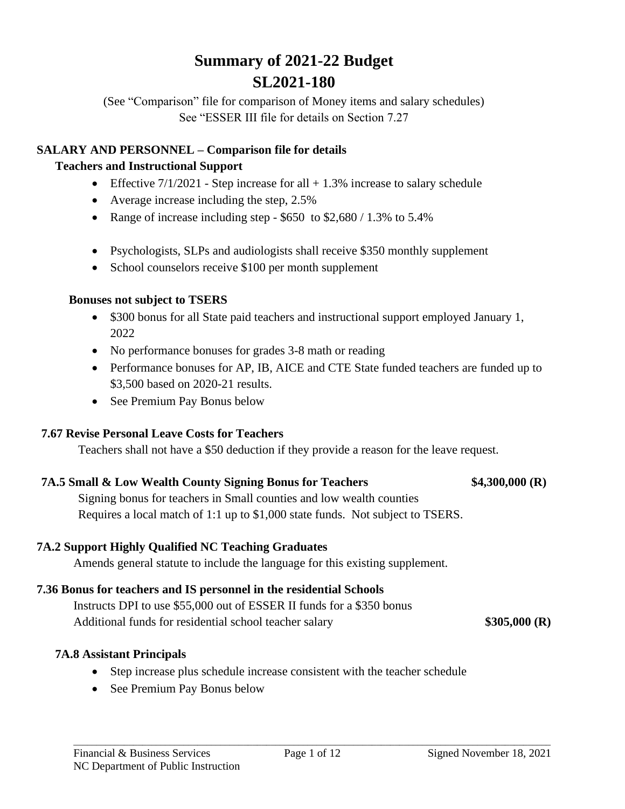# **Summary of 2021-22 Budget SL2021-180**

(See "Comparison" file for comparison of Money items and salary schedules) See "ESSER III file for details on Section 7.27

### **SALARY AND PERSONNEL – Comparison file for details**

### **Teachers and Instructional Support**

- Effective  $7/1/2021$  Step increase for all  $+1.3\%$  increase to salary schedule
- Average increase including the step, 2.5%
- Range of increase including step  $$650$  to  $$2,680 / 1.3\%$  to  $5.4\%$
- Psychologists, SLPs and audiologists shall receive \$350 monthly supplement
- School counselors receive \$100 per month supplement

### **Bonuses not subject to TSERS**

- \$300 bonus for all State paid teachers and instructional support employed January 1, 2022
- No performance bonuses for grades 3-8 math or reading
- Performance bonuses for AP, IB, AICE and CTE State funded teachers are funded up to \$3,500 based on 2020-21 results.
- See Premium Pay Bonus below

# **7.67 Revise Personal Leave Costs for Teachers**

Teachers shall not have a \$50 deduction if they provide a reason for the leave request.

### **7A.5 Small & Low Wealth County Signing Bonus for Teachers \$4,300,000 (R)**

Signing bonus for teachers in Small counties and low wealth counties Requires a local match of 1:1 up to \$1,000 state funds. Not subject to TSERS.

# **7A.2 Support Highly Qualified NC Teaching Graduates**

Amends general statute to include the language for this existing supplement.

# **7.36 Bonus for teachers and IS personnel in the residential Schools**

Instructs DPI to use \$55,000 out of ESSER II funds for a \$350 bonus Additional funds for residential school teacher salary **\$305,000 (R)** 

# **7A.8 Assistant Principals**

- Step increase plus schedule increase consistent with the teacher schedule
- See Premium Pay Bonus below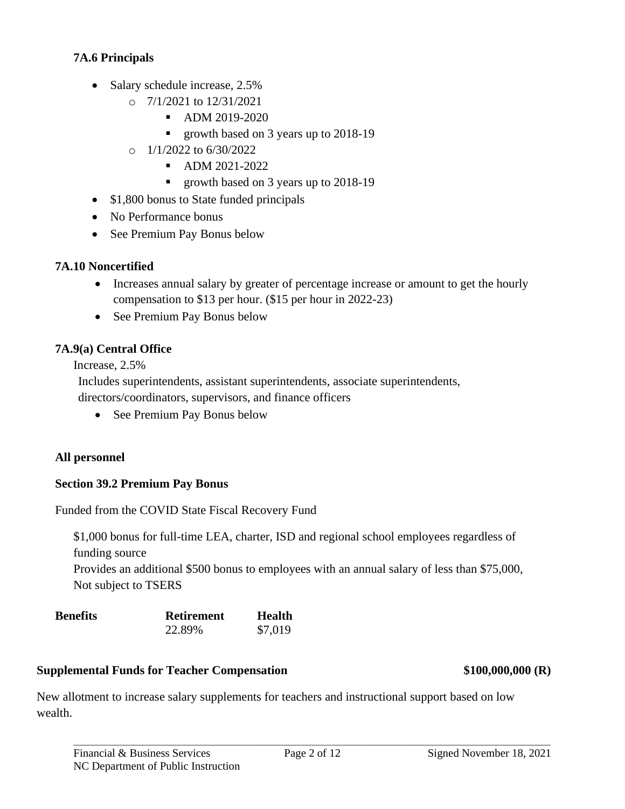### **7A.6 Principals**

- Salary schedule increase, 2.5%
	- o 7/1/2021 to 12/31/2021
		- ADM 2019-2020
		- growth based on 3 years up to 2018-19
	- $O = 1/1/2022$  to 6/30/2022
		- ADM 2021-2022
		- growth based on 3 years up to 2018-19
- \$1,800 bonus to State funded principals
- No Performance bonus
- See Premium Pay Bonus below

### **7A.10 Noncertified**

- Increases annual salary by greater of percentage increase or amount to get the hourly compensation to \$13 per hour. (\$15 per hour in 2022-23)
- See Premium Pay Bonus below

### **7A.9(a) Central Office**

Increase, 2.5%

Includes superintendents, assistant superintendents, associate superintendents, directors/coordinators, supervisors, and finance officers

• See Premium Pay Bonus below

### **All personnel**

### **Section 39.2 Premium Pay Bonus**

Funded from the COVID State Fiscal Recovery Fund

\$1,000 bonus for full-time LEA, charter, ISD and regional school employees regardless of funding source

Provides an additional \$500 bonus to employees with an annual salary of less than \$75,000, Not subject to TSERS

| <b>Benefits</b> | <b>Retirement</b> | Health  |
|-----------------|-------------------|---------|
|                 | 22.89%            | \$7,019 |

# **Supplemental Funds for Teacher Compensation \$100,000,000 (R)**

New allotment to increase salary supplements for teachers and instructional support based on low wealth.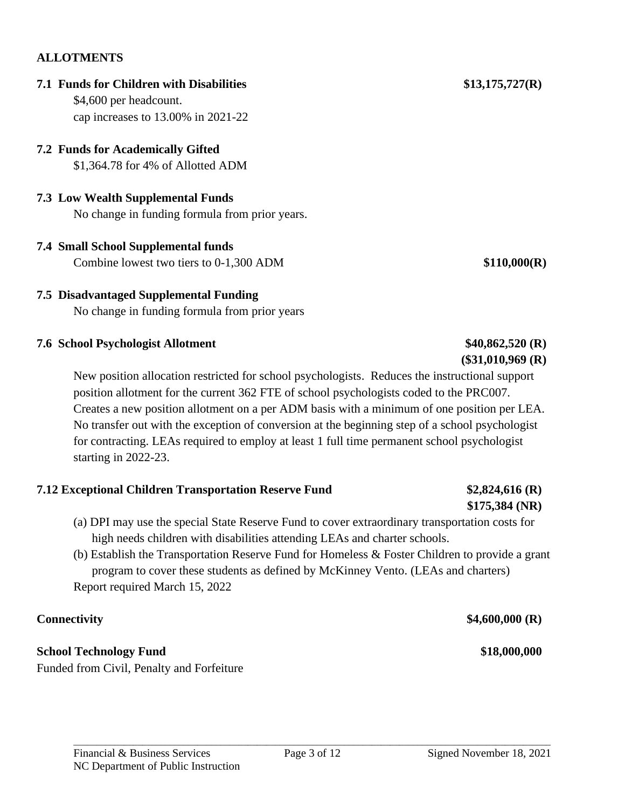# **ALLOTMENTS**

# **7.1 Funds for Children with Disabilities \$13,175,727(R)**

\$4,600 per headcount. cap increases to 13.00% in 2021-22

# **7.2 Funds for Academically Gifted**

\$1,364.78 for 4% of Allotted ADM

# **7.3 Low Wealth Supplemental Funds**

No change in funding formula from prior years.

### **7.4 Small School Supplemental funds** Combine lowest two tiers to 0-1,300 ADM **\$110,000(R)**

# **7.5 Disadvantaged Supplemental Funding**

No change in funding formula from prior years

### **7.6 School Psychologist Allotment \$40,862,520 (R)**

New position allocation restricted for school psychologists. Reduces the instructional support position allotment for the current 362 FTE of school psychologists coded to the PRC007. Creates a new position allotment on a per ADM basis with a minimum of one position per LEA. No transfer out with the exception of conversion at the beginning step of a school psychologist for contracting. LEAs required to employ at least 1 full time permanent school psychologist starting in 2022-23.

# **7.12 Exceptional Children Transportation Reserve Fund \$2,824,616 (R)**

- (a) DPI may use the special State Reserve Fund to cover extraordinary transportation costs for high needs children with disabilities attending LEAs and charter schools.
- (b) Establish the Transportation Reserve Fund for Homeless & Foster Children to provide a grant program to cover these students as defined by McKinney Vento. (LEAs and charters) Report required March 15, 2022

# **Connectivity** \$4,600,000 **(R)**

# **School Technology Fund \$18,000,000**

Funded from Civil, Penalty and Forfeiture

# **\$175,384 (NR)**

**(\$31,010,969 (R)**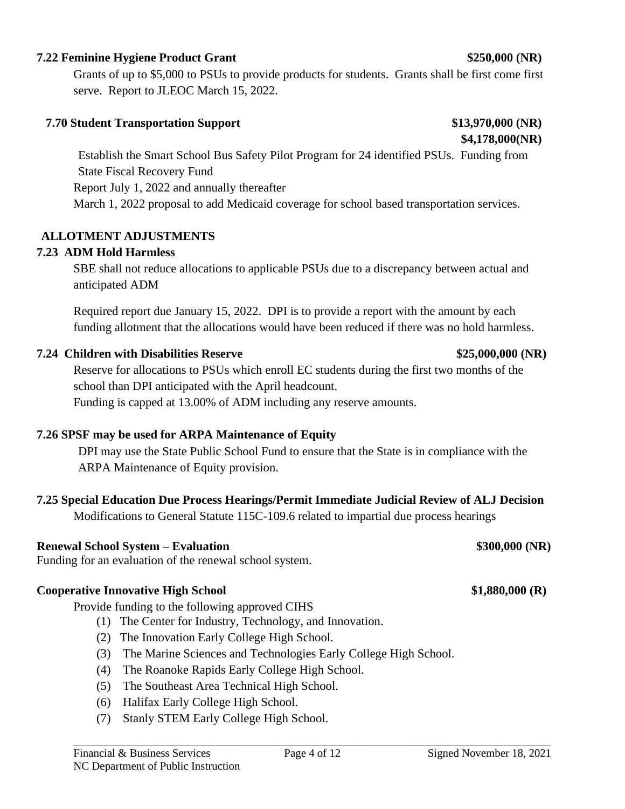### **7.22 Feminine Hygiene Product Grant \$250,000 (NR)**

Grants of up to \$5,000 to PSUs to provide products for students. Grants shall be first come first serve. Report to JLEOC March 15, 2022.

### **7.70 Student Transportation Support \$13,970,000 (NR)**

Establish the Smart School Bus Safety Pilot Program for 24 identified PSUs. Funding from State Fiscal Recovery Fund Report July 1, 2022 and annually thereafter March 1, 2022 proposal to add Medicaid coverage for school based transportation services.

### **ALLOTMENT ADJUSTMENTS**

### **7.23 ADM Hold Harmless**

SBE shall not reduce allocations to applicable PSUs due to a discrepancy between actual and anticipated ADM

Required report due January 15, 2022. DPI is to provide a report with the amount by each funding allotment that the allocations would have been reduced if there was no hold harmless.

### **7.24 Children with Disabilities Reserve \$25,000,000 (NR)**

Reserve for allocations to PSUs which enroll EC students during the first two months of the school than DPI anticipated with the April headcount.

Funding is capped at 13.00% of ADM including any reserve amounts.

### **7.26 SPSF may be used for ARPA Maintenance of Equity**

DPI may use the State Public School Fund to ensure that the State is in compliance with the ARPA Maintenance of Equity provision.

### **7.25 Special Education Due Process Hearings/Permit Immediate Judicial Review of ALJ Decision**

Modifications to General Statute 115C-109.6 related to impartial due process hearings

### **Renewal School System – Evaluation \$300,000 (NR)**

Funding for an evaluation of the renewal school system.

### **Cooperative Innovative High School \$1,880,000 (R)**

Provide funding to the following approved CIHS

- (1) The Center for Industry, Technology, and Innovation.
- (2) The Innovation Early College High School.
- (3) The Marine Sciences and Technologies Early College High School.
- (4) The Roanoke Rapids Early College High School.
- (5) The Southeast Area Technical High School.
- (6) Halifax Early College High School.
- (7) Stanly STEM Early College High School.

**\$4,178,000(NR)**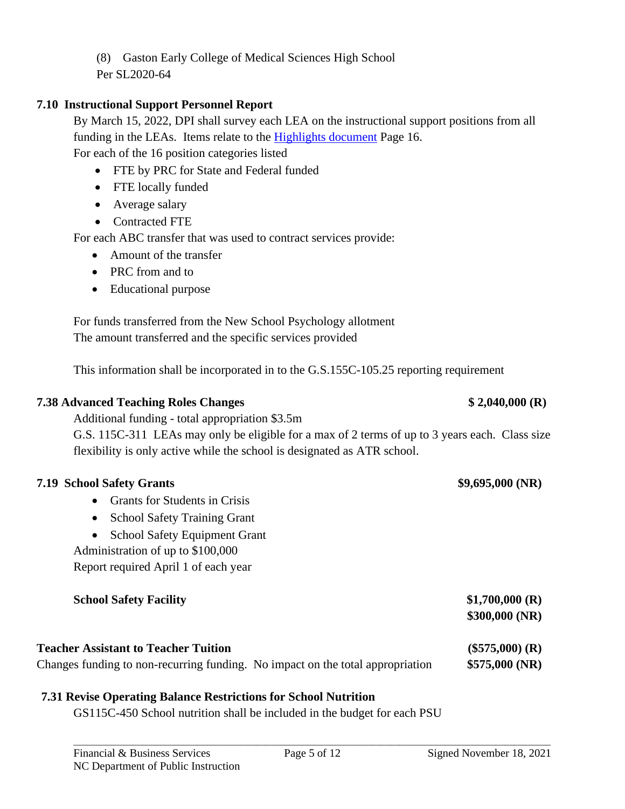(8) Gaston Early College of Medical Sciences High School

Per SL2020-64

### **7.10 Instructional Support Personnel Report**

By March 15, 2022, DPI shall survey each LEA on the instructional support positions from all funding in the LEAs. Items relate to the [Highlights document](https://www.dpi.nc.gov/media/10454/download?attachment) Page 16. For each of the 16 position categories listed

- FTE by PRC for State and Federal funded
- FTE locally funded
- Average salary
- Contracted FTE

For each ABC transfer that was used to contract services provide:

- Amount of the transfer
- PRC from and to
- Educational purpose

For funds transferred from the New School Psychology allotment The amount transferred and the specific services provided

This information shall be incorporated in to the G.S.155C-105.25 reporting requirement

### **7.38 Advanced Teaching Roles Changes \$ 2,040,000 (R)**

Additional funding - total appropriation \$3.5m G.S. 115C-311 LEAs may only be eligible for a max of 2 terms of up to 3 years each. Class size flexibility is only active while the school is designated as ATR school.

### **7.19 School Safety Grants \$9,695,000 (NR)**

- Grants for Students in Crisis
- School Safety Training Grant
- School Safety Equipment Grant

Administration of up to \$100,000

Report required April 1 of each year

| <b>School Safety Facility</b>               | \$1,700,000(R)<br>\$300,000(NR) |
|---------------------------------------------|---------------------------------|
| <b>Teacher Assistant to Teacher Tuition</b> | $(\$575,000)$ (R)               |

# Changes funding to non-recurring funding. No impact on the total appropriation **\$575,000 (NR)**

### **7.31 Revise Operating Balance Restrictions for School Nutrition**

GS115C-450 School nutrition shall be included in the budget for each PSU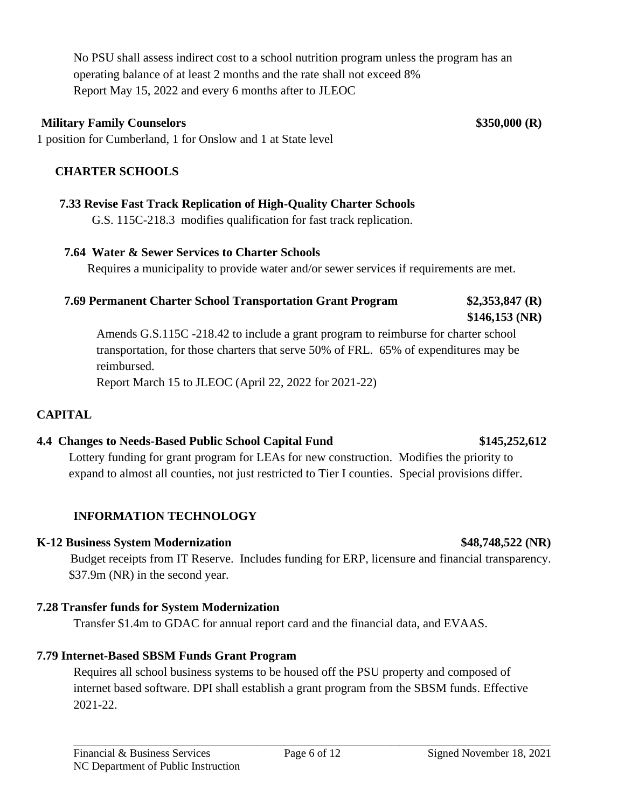No PSU shall assess indirect cost to a school nutrition program unless the program has an operating balance of at least 2 months and the rate shall not exceed 8% Report May 15, 2022 and every 6 months after to JLEOC

### **Military Family Counselors \$350,000 (R)**

1 position for Cumberland, 1 for Onslow and 1 at State level

### **CHARTER SCHOOLS**

### **7.33 Revise Fast Track Replication of High-Quality Charter Schools**

G.S. 115C-218.3 modifies qualification for fast track replication.

### **7.64 Water & Sewer Services to Charter Schools**

Requires a municipality to provide water and/or sewer services if requirements are met.

### **7.69 Permanent Charter School Transportation Grant Program \$2,353,847 (R)**

# **\$146,153 (NR)**

Amends G.S.115C -218.42 to include a grant program to reimburse for charter school transportation, for those charters that serve 50% of FRL. 65% of expenditures may be reimbursed.

Report March 15 to JLEOC (April 22, 2022 for 2021-22)

### **CAPITAL**

### **4.4 Changes to Needs-Based Public School Capital Fund \$145,252,612**

Lottery funding for grant program for LEAs for new construction. Modifies the priority to expand to almost all counties, not just restricted to Tier I counties. Special provisions differ.

### **INFORMATION TECHNOLOGY**

### **K-12 Business System Modernization \$48,748,522 (NR)**

Budget receipts from IT Reserve. Includes funding for ERP, licensure and financial transparency. \$37.9m (NR) in the second year.

### **7.28 Transfer funds for System Modernization**

Transfer \$1.4m to GDAC for annual report card and the financial data, and EVAAS.

### **7.79 Internet-Based SBSM Funds Grant Program**

Requires all school business systems to be housed off the PSU property and composed of internet based software. DPI shall establish a grant program from the SBSM funds. Effective 2021-22.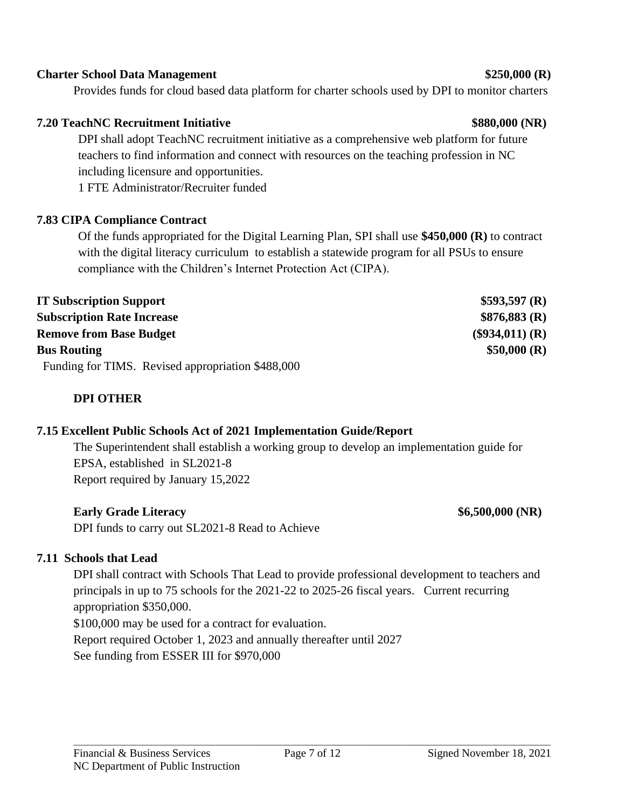### Financial & Business Services Page 7 of 12 Signed November 18, 2021 NC Department of Public Instruction

# \_\_\_\_\_\_\_\_\_\_\_\_\_\_\_\_\_\_\_\_\_\_\_\_\_\_\_\_\_\_\_\_\_\_\_\_\_\_\_\_\_\_\_\_\_\_\_\_\_\_\_\_\_\_\_\_\_\_\_\_\_\_\_\_\_\_\_\_\_\_\_\_\_\_\_\_\_\_\_\_\_\_\_\_\_\_\_\_\_\_\_\_\_\_\_\_\_\_\_\_\_\_\_\_

# **Early Grade Literacy \$6,500,000 (NR)** DPI funds to carry out SL2021-8 Read to Achieve

# **7.11 Schools that Lead**

DPI shall contract with Schools That Lead to provide professional development to teachers and principals in up to 75 schools for the 2021-22 to 2025-26 fiscal years. Current recurring appropriation \$350,000. \$100,000 may be used for a contract for evaluation. Report required October 1, 2023 and annually thereafter until 2027 See funding from ESSER III for \$970,000

**7.15 Excellent Public Schools Act of 2021 Implementation Guide/Report**

The Superintendent shall establish a working group to develop an implementation guide for EPSA, established in SL2021-8 Report required by January 15,2022

Funding for TIMS. Revised appropriation \$488,000

**7.83 CIPA Compliance Contract** 

Of the funds appropriated for the Digital Learning Plan, SPI shall use **\$450,000 (R)** to contract with the digital literacy curriculum to establish a statewide program for all PSUs to ensure compliance with the Children's Internet Protection Act (CIPA).

DPI shall adopt TeachNC recruitment initiative as a comprehensive web platform for future teachers to find information and connect with resources on the teaching profession in NC including licensure and opportunities.

1 FTE Administrator/Recruiter funded

### **Charter School Data Management \$250,000 (R)**

Provides funds for cloud based data platform for charter schools used by DPI to monitor charters

| <b>IT Subscription Support</b>                    | \$593,597(R)      |
|---------------------------------------------------|-------------------|
| <b>Subscription Rate Increase</b>                 | \$876,883(R)      |
| <b>Remove from Base Budget</b>                    | $(\$934,011)$ (R) |
| <b>Bus Routing</b>                                | \$50,000 (R)      |
| Eunding for TIMC Dovised engrapristion $$400,000$ |                   |

# **DPI OTHER**

# **7.20 TeachNC Recruitment Initiative \$880,000 (NR)**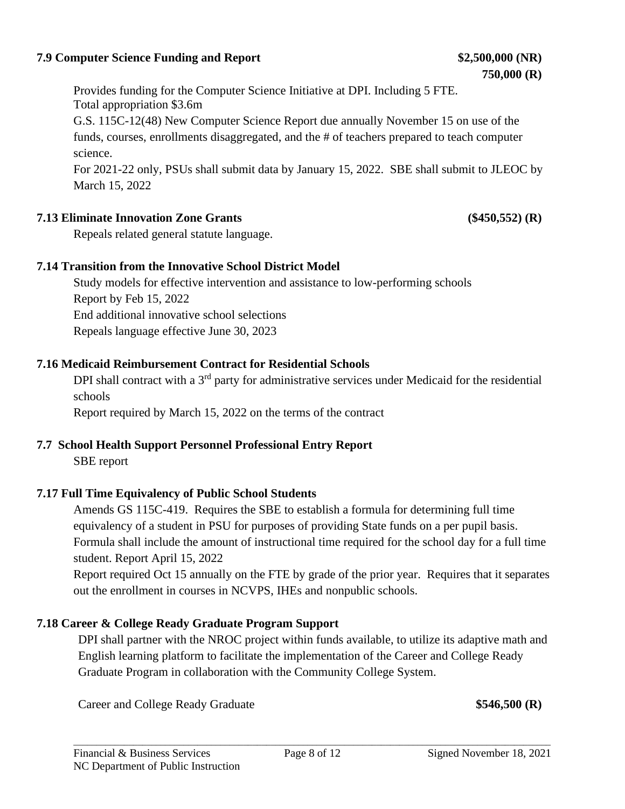### **7.9 Computer Science Funding and Report \$2,500,000 (NR)**

Provides funding for the Computer Science Initiative at DPI. Including 5 FTE. Total appropriation \$3.6m

G.S. 115C-12(48) New Computer Science Report due annually November 15 on use of the funds, courses, enrollments disaggregated, and the # of teachers prepared to teach computer science.

For 2021-22 only, PSUs shall submit data by January 15, 2022. SBE shall submit to JLEOC by March 15, 2022

### **7.13 Eliminate Innovation Zone Grants (\$450,552) (R)**

Repeals related general statute language.

### **7.14 Transition from the Innovative School District Model**

Study models for effective intervention and assistance to low-performing schools Report by Feb 15, 2022 End additional innovative school selections Repeals language effective June 30, 2023

### **7.16 Medicaid Reimbursement Contract for Residential Schools**

DPI shall contract with a 3<sup>rd</sup> party for administrative services under Medicaid for the residential schools

Report required by March 15, 2022 on the terms of the contract

# **7.7 School Health Support Personnel Professional Entry Report**

SBE report

### **7.17 Full Time Equivalency of Public School Students**

Amends GS 115C-419. Requires the SBE to establish a formula for determining full time equivalency of a student in PSU for purposes of providing State funds on a per pupil basis. Formula shall include the amount of instructional time required for the school day for a full time student. Report April 15, 2022

Report required Oct 15 annually on the FTE by grade of the prior year. Requires that it separates out the enrollment in courses in NCVPS, IHEs and nonpublic schools.

### **7.18 Career & College Ready Graduate Program Support**

DPI shall partner with the NROC project within funds available, to utilize its adaptive math and English learning platform to facilitate the implementation of the Career and College Ready Graduate Program in collaboration with the Community College System.

Career and College Ready Graduate **\$546,500 (R)**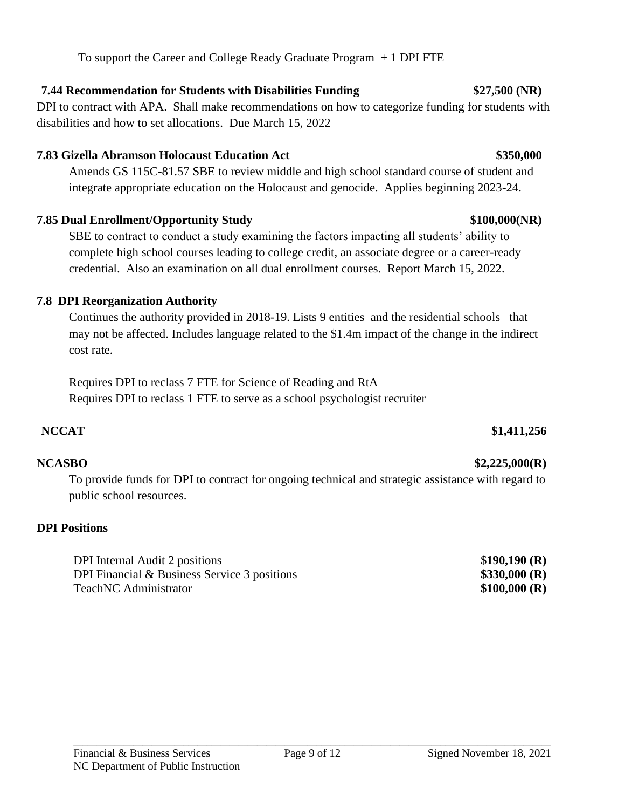# **7.44 Recommendation for Students with Disabilities Funding \$27,500 (NR)**

DPI to contract with APA. Shall make recommendations on how to categorize funding for students with disabilities and how to set allocations. Due March 15, 2022

# **7.83 Gizella Abramson Holocaust Education Act \$350,000**

Amends GS 115C-81.57 SBE to review middle and high school standard course of student and integrate appropriate education on the Holocaust and genocide. Applies beginning 2023-24.

# **7.85 Dual Enrollment/Opportunity Study \$100,000(NR)**

SBE to contract to conduct a study examining the factors impacting all students' ability to complete high school courses leading to college credit, an associate degree or a career-ready credential. Also an examination on all dual enrollment courses. Report March 15, 2022.

# **7.8 DPI Reorganization Authority**

Continues the authority provided in 2018-19. Lists 9 entities and the residential schools that may not be affected. Includes language related to the \$1.4m impact of the change in the indirect cost rate.

Requires DPI to reclass 7 FTE for Science of Reading and RtA Requires DPI to reclass 1 FTE to serve as a school psychologist recruiter

# **NCCAT \$1,411,256**

To provide funds for DPI to contract for ongoing technical and strategic assistance with regard to public school resources.

# **DPI Positions**

DPI Internal Audit 2 positions \$**190,190 (R)** DPI Financial & Business Service 3 positions **\$330,000 (R)** TeachNC Administrator **\$100,000 (R)** 

**NCASBO \$2,225,000(R)**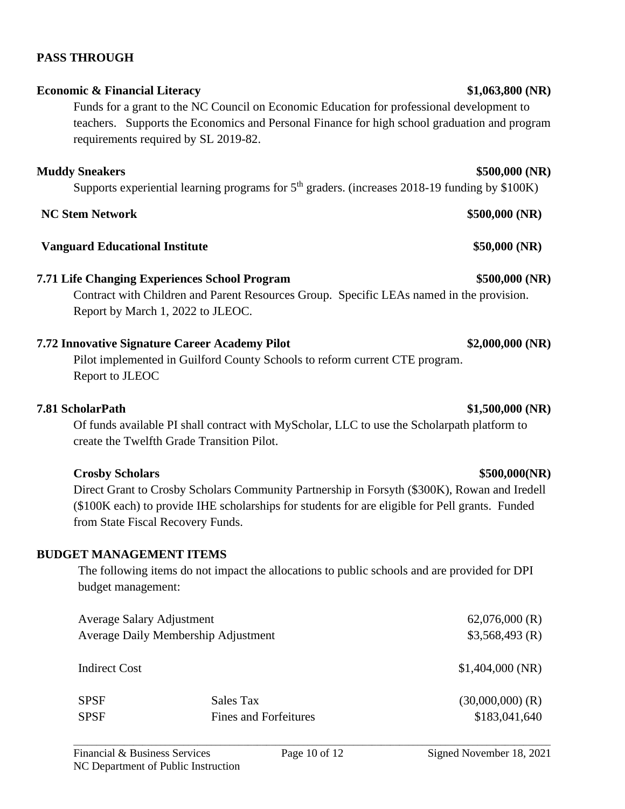**7.72 Innovative Signature Career Academy Pilot \$2,000,000 (NR)** Pilot implemented in Guilford County Schools to reform current CTE program. Report to JLEOC

### **7.81 ScholarPath \$1,500,000 (NR)**

Of funds available PI shall contract with MyScholar, LLC to use the Scholarpath platform to create the Twelfth Grade Transition Pilot.

# **Crosby Scholars \$500,000(NR)**

Direct Grant to Crosby Scholars Community Partnership in Forsyth (\$300K), Rowan and Iredell (\$100K each) to provide IHE scholarships for students for are eligible for Pell grants. Funded from State Fiscal Recovery Funds.

### **BUDGET MANAGEMENT ITEMS**

The following items do not impact the allocations to public schools and are provided for DPI budget management:

| Average Salary Adjustment           |                       | $62,076,000$ (R)   |
|-------------------------------------|-----------------------|--------------------|
| Average Daily Membership Adjustment |                       | \$3,568,493(R)     |
| Indirect Cost                       |                       | \$1,404,000(NR)    |
| <b>SPSF</b>                         | Sales Tax             | $(30,000,000)$ (R) |
| <b>SPSF</b>                         | Fines and Forfeitures | \$183,041,640      |

# **PASS THROUGH**

# **Economic & Financial Literacy** \$1,063,800 (NR)

Funds for a grant to the NC Council on Economic Education for professional development to teachers. Supports the Economics and Personal Finance for high school graduation and program requirements required by SL 2019-82.

### **Muddy Sneakers \$500,000 (NR)**

Supports experiential learning programs for  $5<sup>th</sup>$  graders. (increases 2018-19 funding by \$100K)

### **NC Stem Network \$500,000 (NR)**

### **Vanguard Educational Institute \$50,000 (NR)**

# **7.71 Life Changing Experiences School Program \$500,000 (NR)**

Contract with Children and Parent Resources Group. Specific LEAs named in the provision. Report by March 1, 2022 to JLEOC.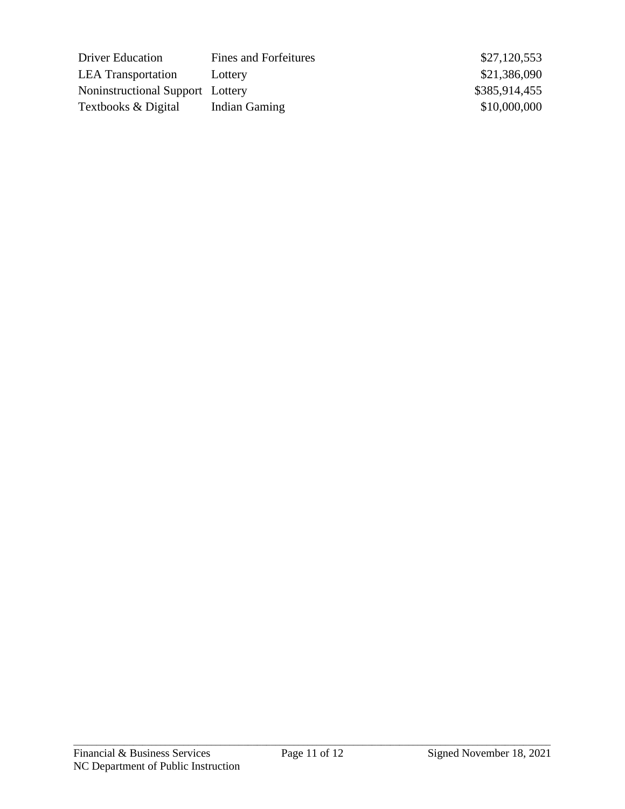| <b>Driver Education</b>          | <b>Fines and Forfeitures</b> |
|----------------------------------|------------------------------|
| <b>LEA</b> Transportation        | Lottery                      |
| Noninstructional Support Lottery |                              |
| Textbooks & Digital              | <b>Indian Gaming</b>         |

 $$27,120,553$  $$21,386,090$ \$385,914,455  $$10,000,000$